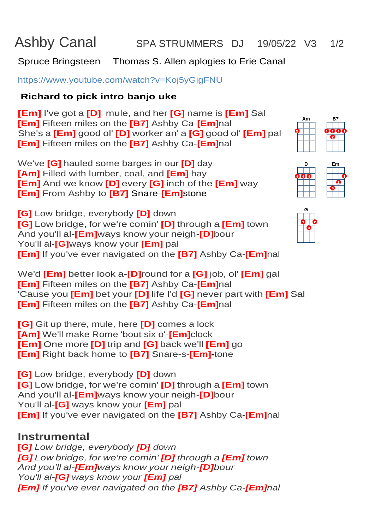Ashby Canal SPA STRUMMERS DJ 19/05/22 V3 1/2

## Spruce Bringsteen Thomas S. Allen aplogies to Erie Canal

[https://www.youtube.com/watch?v=Koj5yGigFNU](https://www.youtube.com/watch?v=Koj5yGigFNU%20target%3D)

## **Richard to pick intro banjo uke**

**[Em]** I've got a **[D]** mule, and her **[G]** name is **[Em]** Sal **[Em]** Fifteen miles on the **[B7]** Ashby Ca-**[Em]**nal She's a **[Em]** good ol' **[D]** worker an' a **[G]** good ol' **[Em]** pal **[Em]** Fifteen miles on the **[B7]** Ashby Ca-**[Em]**nal

We've **[G]** hauled some barges in our **[D]** day **[Am]** Filled with lumber, coal, and **[Em]** hay **[Em]** And we know **[D]** every **[G]** inch of the **[Em]** way **[Em]** From Ashby to **[B7]** Snare-**[Em]**stone

**[G]** Low bridge, everybody **[D]** down **[G]** Low bridge, for we're comin' **[D]** through a **[Em]** town And you'll al-**[Em]**ways know your neigh-**[D]**bour You'll al-**[G]**ways know your **[Em]** pal **[Em]** If you've ever navigated on the **[B7]** Ashby Ca-**[Em]**nal



**[G]** Git up there, mule, here **[D]** comes a lock **[Am]** We'll make Rome 'bout six o'-**[Em]**clock **[Em]** One more **[D]** trip and **[G]** back we'll **[Em]** go **[Em]** Right back home to **[B7]** Snare-s-**[Em]-**tone

**[G]** Low bridge, everybody **[D]** down **[G]** Low bridge, for we're comin' **[D]** through a **[Em]** town And you'll al-**[Em]**ways know your neigh-**[D]**bour You'll al-**[G]** ways know your **[Em]** pal **[Em]** If you've ever navigated on the **[B7]** Ashby Ca-**[Em]**nal

## **Instrumental**

**[***G] Low bridge, everybody [D] down [G] Low bridge, for we're comin' [D] through a [Em] town And you'll al-[Em]ways know your neigh-[D]bour You'll al-[G] ways know your [Em] pal [Em] If you've ever navigated on the [B7] Ashby Ca-[Em]nal*